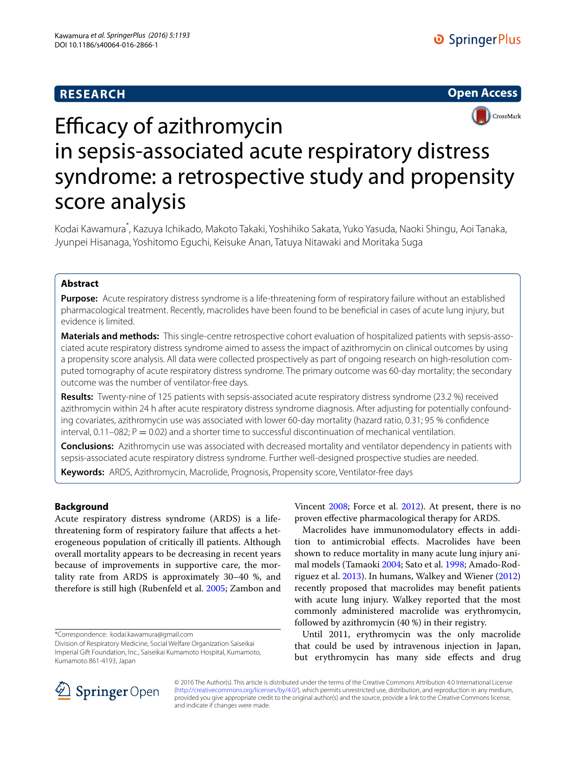## **RESEARCH**





# Efficacy of azithromycin in sepsis-associated acute respiratory distress syndrome: a retrospective study and propensity score analysis

Kodai Kawamura\* , Kazuya Ichikado, Makoto Takaki, Yoshihiko Sakata, Yuko Yasuda, Naoki Shingu, Aoi Tanaka, Jyunpei Hisanaga, Yoshitomo Eguchi, Keisuke Anan, Tatuya Nitawaki and Moritaka Suga

## **Abstract**

**Purpose:** Acute respiratory distress syndrome is a life-threatening form of respiratory failure without an established pharmacological treatment. Recently, macrolides have been found to be beneficial in cases of acute lung injury, but evidence is limited.

**Materials and methods:** This single-centre retrospective cohort evaluation of hospitalized patients with sepsis-associated acute respiratory distress syndrome aimed to assess the impact of azithromycin on clinical outcomes by using a propensity score analysis. All data were collected prospectively as part of ongoing research on high-resolution computed tomography of acute respiratory distress syndrome. The primary outcome was 60-day mortality; the secondary outcome was the number of ventilator-free days.

**Results:** Twenty-nine of 125 patients with sepsis-associated acute respiratory distress syndrome (23.2 %) received azithromycin within 24 h after acute respiratory distress syndrome diagnosis. After adjusting for potentially confounding covariates, azithromycin use was associated with lower 60-day mortality (hazard ratio, 0.31; 95 % confidence interval,  $0.11-082$ ;  $P = 0.02$ ) and a shorter time to successful discontinuation of mechanical ventilation.

**Conclusions:** Azithromycin use was associated with decreased mortality and ventilator dependency in patients with sepsis-associated acute respiratory distress syndrome. Further well-designed prospective studies are needed.

**Keywords:** ARDS, Azithromycin, Macrolide, Prognosis, Propensity score, Ventilator-free days

### **Background**

Acute respiratory distress syndrome (ARDS) is a lifethreatening form of respiratory failure that affects a heterogeneous population of critically ill patients. Although overall mortality appears to be decreasing in recent years because of improvements in supportive care, the mortality rate from ARDS is approximately 30–40 %, and therefore is still high (Rubenfeld et al. [2005;](#page-6-0) Zambon and

\*Correspondence: kodai.kawamura@gmail.com

Division of Respiratory Medicine, Social Welfare Organization Saiseikai Imperial Gift Foundation, Inc., Saiseikai Kumamoto Hospital, Kumamoto, Kumamoto 861-4193, Japan

Vincent [2008;](#page-6-1) Force et al. [2012\)](#page-6-2). At present, there is no proven effective pharmacological therapy for ARDS.

Macrolides have immunomodulatory effects in addition to antimicrobial effects. Macrolides have been shown to reduce mortality in many acute lung injury animal models (Tamaoki [2004;](#page-6-3) Sato et al. [1998](#page-6-4); Amado-Rodriguez et al. [2013\)](#page-6-5). In humans, Walkey and Wiener ([2012](#page-6-6)) recently proposed that macrolides may benefit patients with acute lung injury. Walkey reported that the most commonly administered macrolide was erythromycin, followed by azithromycin (40 %) in their registry.

Until 2011, erythromycin was the only macrolide that could be used by intravenous injection in Japan, but erythromycin has many side effects and drug



© 2016 The Author(s). This article is distributed under the terms of the Creative Commons Attribution 4.0 International License [\(http://creativecommons.org/licenses/by/4.0/\)](http://creativecommons.org/licenses/by/4.0/), which permits unrestricted use, distribution, and reproduction in any medium, provided you give appropriate credit to the original author(s) and the source, provide a link to the Creative Commons license, and indicate if changes were made.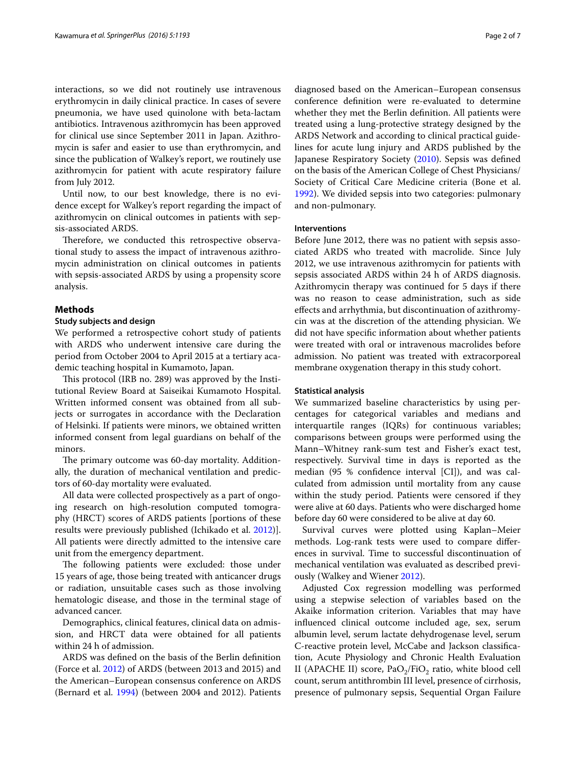interactions, so we did not routinely use intravenous erythromycin in daily clinical practice. In cases of severe pneumonia, we have used quinolone with beta-lactam antibiotics. Intravenous azithromycin has been approved for clinical use since September 2011 in Japan. Azithromycin is safer and easier to use than erythromycin, and since the publication of Walkey's report, we routinely use azithromycin for patient with acute respiratory failure from July 2012.

Until now, to our best knowledge, there is no evidence except for Walkey's report regarding the impact of azithromycin on clinical outcomes in patients with sepsis-associated ARDS.

Therefore, we conducted this retrospective observational study to assess the impact of intravenous azithromycin administration on clinical outcomes in patients with sepsis-associated ARDS by using a propensity score analysis.

#### **Methods**

#### **Study subjects and design**

We performed a retrospective cohort study of patients with ARDS who underwent intensive care during the period from October 2004 to April 2015 at a tertiary academic teaching hospital in Kumamoto, Japan.

This protocol (IRB no. 289) was approved by the Institutional Review Board at Saiseikai Kumamoto Hospital. Written informed consent was obtained from all subjects or surrogates in accordance with the Declaration of Helsinki. If patients were minors, we obtained written informed consent from legal guardians on behalf of the minors.

The primary outcome was 60-day mortality. Additionally, the duration of mechanical ventilation and predictors of 60-day mortality were evaluated.

All data were collected prospectively as a part of ongoing research on high-resolution computed tomography (HRCT) scores of ARDS patients [portions of these results were previously published (Ichikado et al. [2012\)](#page-6-7)]. All patients were directly admitted to the intensive care unit from the emergency department.

The following patients were excluded: those under 15 years of age, those being treated with anticancer drugs or radiation, unsuitable cases such as those involving hematologic disease, and those in the terminal stage of advanced cancer.

Demographics, clinical features, clinical data on admission, and HRCT data were obtained for all patients within 24 h of admission.

ARDS was defined on the basis of the Berlin definition (Force et al. [2012](#page-6-2)) of ARDS (between 2013 and 2015) and the American–European consensus conference on ARDS (Bernard et al. [1994\)](#page-6-8) (between 2004 and 2012). Patients

diagnosed based on the American–European consensus conference definition were re-evaluated to determine whether they met the Berlin definition. All patients were treated using a lung-protective strategy designed by the ARDS Network and according to clinical practical guidelines for acute lung injury and ARDS published by the Japanese Respiratory Society [\(2010](#page-6-9)). Sepsis was defined on the basis of the American College of Chest Physicians/ Society of Critical Care Medicine criteria (Bone et al. [1992](#page-6-10)). We divided sepsis into two categories: pulmonary and non-pulmonary.

#### **Interventions**

Before June 2012, there was no patient with sepsis associated ARDS who treated with macrolide. Since July 2012, we use intravenous azithromycin for patients with sepsis associated ARDS within 24 h of ARDS diagnosis. Azithromycin therapy was continued for 5 days if there was no reason to cease administration, such as side effects and arrhythmia, but discontinuation of azithromycin was at the discretion of the attending physician. We did not have specific information about whether patients were treated with oral or intravenous macrolides before admission. No patient was treated with extracorporeal membrane oxygenation therapy in this study cohort.

#### **Statistical analysis**

We summarized baseline characteristics by using percentages for categorical variables and medians and interquartile ranges (IQRs) for continuous variables; comparisons between groups were performed using the Mann–Whitney rank-sum test and Fisher's exact test, respectively. Survival time in days is reported as the median (95 % confidence interval [CI]), and was calculated from admission until mortality from any cause within the study period. Patients were censored if they were alive at 60 days. Patients who were discharged home before day 60 were considered to be alive at day 60.

Survival curves were plotted using Kaplan–Meier methods. Log-rank tests were used to compare differences in survival. Time to successful discontinuation of mechanical ventilation was evaluated as described previously (Walkey and Wiener [2012](#page-6-6)).

Adjusted Cox regression modelling was performed using a stepwise selection of variables based on the Akaike information criterion. Variables that may have influenced clinical outcome included age, sex, serum albumin level, serum lactate dehydrogenase level, serum C-reactive protein level, McCabe and Jackson classification, Acute Physiology and Chronic Health Evaluation II (APACHE II) score,  $PaO<sub>2</sub>/FiO<sub>2</sub>$  ratio, white blood cell count, serum antithrombin III level, presence of cirrhosis, presence of pulmonary sepsis, Sequential Organ Failure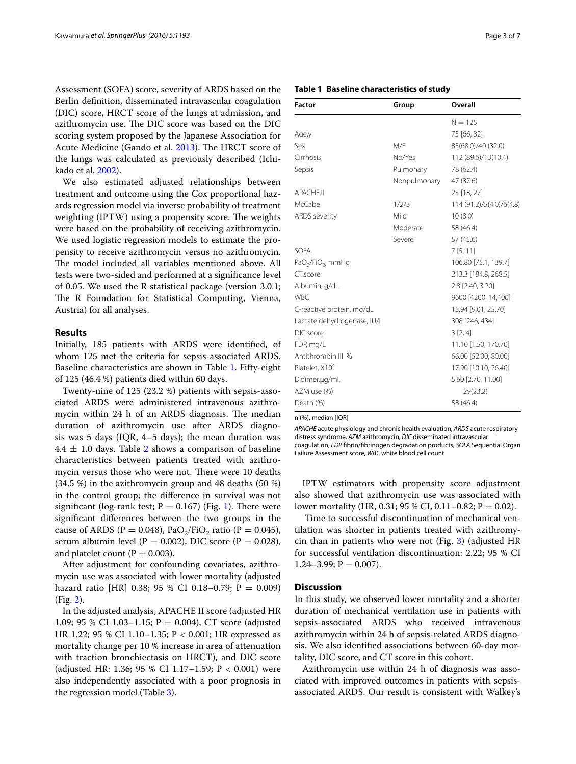Assessment (SOFA) score, severity of ARDS based on the Berlin definition, disseminated intravascular coagulation (DIC) score, HRCT score of the lungs at admission, and azithromycin use. The DIC score was based on the DIC scoring system proposed by the Japanese Association for Acute Medicine (Gando et al. [2013\)](#page-6-11). The HRCT score of the lungs was calculated as previously described (Ichikado et al. [2002](#page-6-12)).

We also estimated adjusted relationships between treatment and outcome using the Cox proportional hazards regression model via inverse probability of treatment weighting (IPTW) using a propensity score. The weights were based on the probability of receiving azithromycin. We used logistic regression models to estimate the propensity to receive azithromycin versus no azithromycin. The model included all variables mentioned above. All tests were two-sided and performed at a significance level of 0.05. We used the R statistical package (version 3.0.1; The R Foundation for Statistical Computing, Vienna, Austria) for all analyses.

#### **Results**

Initially, 185 patients with ARDS were identified, of whom 125 met the criteria for sepsis-associated ARDS. Baseline characteristics are shown in Table [1.](#page-2-0) Fifty-eight of 125 (46.4 %) patients died within 60 days.

Twenty-nine of 125 (23.2 %) patients with sepsis-associated ARDS were administered intravenous azithromycin within 24 h of an ARDS diagnosis. The median duration of azithromycin use after ARDS diagnosis was 5 days (IQR, 4–5 days); the mean duration was  $4.4 \pm 1.0$  days. Table [2](#page-3-0) shows a comparison of baseline characteristics between patients treated with azithromycin versus those who were not. There were 10 deaths (34.5 %) in the azithromycin group and 48 deaths (50 %) in the control group; the difference in survival was not significant (log-rank test;  $P = 0.167$  $P = 0.167$  $P = 0.167$ ) (Fig. 1). There were significant differences between the two groups in the cause of ARDS (P = 0.048), PaO<sub>2</sub>/FiO<sub>2</sub> ratio (P = 0.045), serum albumin level ( $P = 0.002$ ), DIC score ( $P = 0.028$ ), and platelet count ( $P = 0.003$ ).

After adjustment for confounding covariates, azithromycin use was associated with lower mortality (adjusted hazard ratio [HR] 0.38; 95 % CI 0.18–0.79; P = 0.009) (Fig. [2\)](#page-4-1).

In the adjusted analysis, APACHE II score (adjusted HR 1.09; 95 % CI 1.03–1.15;  $P = 0.004$ ), CT score (adjusted HR 1.22; 95 % CI 1.10–1.35; P < 0.001; HR expressed as mortality change per 10 % increase in area of attenuation with traction bronchiectasis on HRCT), and DIC score (adjusted HR: 1.36; 95 % CI 1.17–1.59;  $P < 0.001$ ) were also independently associated with a poor prognosis in the regression model (Table [3](#page-4-2)).

#### <span id="page-2-0"></span>**Table 1 Baseline characteristics of study**

| <b>Factor</b>               | Group        | Overall                  |
|-----------------------------|--------------|--------------------------|
|                             |              | $N = 125$                |
| Age,y                       |              | 75 [66, 82]              |
| Sex                         | M/F          | 85(68.0)/40 (32.0)       |
| Cirrhosis                   | No/Yes       | 112 (89.6)/13(10.4)      |
| Sepsis                      | Pulmonary    | 78 (62.4)                |
|                             | Nonpulmonary | 47 (37.6)                |
| APACHE.II                   |              | 23 [18, 27]              |
| McCabe                      | 1/2/3        | 114 (91.2)/5(4.0)/6(4.8) |
| <b>ARDS</b> severity        | Mild         | 10(8.0)                  |
|                             | Moderate     | 58 (46.4)                |
|                             | Severe       | 57 (45.6)                |
| <b>SOFA</b>                 |              | 7[5, 11]                 |
| $PaO2/FiO2$ , mmHg          |              | 106.80 [75.1, 139.7]     |
| CT.score                    |              | 213.3 [184.8, 268.5]     |
| Albumin, g/dL               |              | 2.8 [2.40, 3.20]         |
| <b>WBC</b>                  |              | 9600 [4200, 14,400]      |
| C-reactive protein, mg/dL   |              | 15.94 [9.01, 25.70]      |
| Lactate dehydrogenase, IU/L |              | 308 [246, 434]           |
| DIC score                   |              | 3 [2, 4]                 |
| FDP, mg/L                   |              | 11.10 [1.50, 170.70]     |
| Antithrombin III %          |              | 66.00 [52.00, 80.00]     |
| Platelet, X10 <sup>4</sup>  |              | 17.90 [10.10, 26.40]     |
| D.dimer.ug/ml.              |              | 5.60 [2.70, 11.00]       |
| AZM use (%)                 |              | 29(23.2)                 |
| Death (%)                   |              | 58 (46.4)                |

n (%), median [IQR]

*APACHE* acute physiology and chronic health evaluation, *ARDS* acute respiratory distress syndrome, *AZM* azithromycin, *DIC* disseminated intravascular coagulation, *FDP* fibrin/fibrinogen degradation products, *SOFA* Sequential Organ Failure Assessment score, *WBC* white blood cell count

IPTW estimators with propensity score adjustment also showed that azithromycin use was associated with lower mortality (HR, 0.31; 95 % CI, 0.11–0.82;  $P = 0.02$ ).

 Time to successful discontinuation of mechanical ventilation was shorter in patients treated with azithromycin than in patients who were not (Fig. [3](#page-4-3)) (adjusted HR for successful ventilation discontinuation: 2.22; 95 % CI  $1.24 - 3.99$ ;  $P = 0.007$ ).

#### **Discussion**

In this study, we observed lower mortality and a shorter duration of mechanical ventilation use in patients with sepsis-associated ARDS who received intravenous azithromycin within 24 h of sepsis-related ARDS diagnosis. We also identified associations between 60-day mortality, DIC score, and CT score in this cohort.

Azithromycin use within 24 h of diagnosis was associated with improved outcomes in patients with sepsisassociated ARDS. Our result is consistent with Walkey's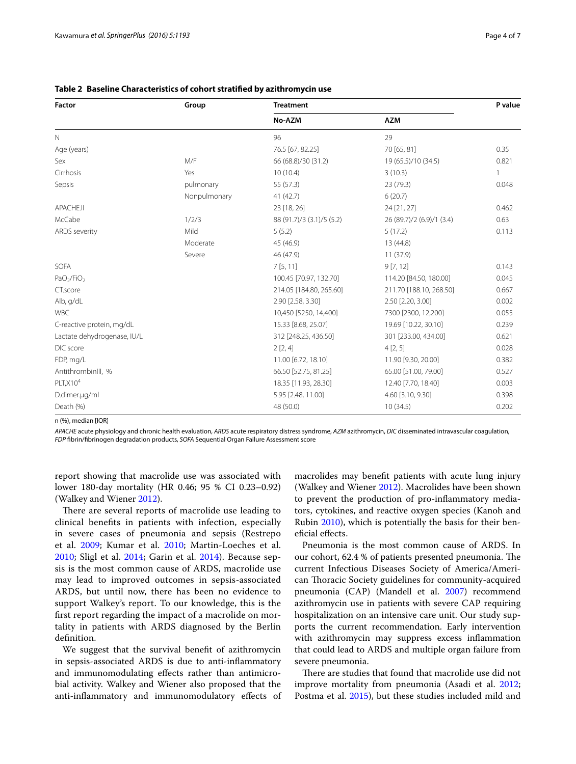| Factor                             | Group        | <b>Treatment</b>          | P value                   |              |
|------------------------------------|--------------|---------------------------|---------------------------|--------------|
|                                    |              | No-AZM                    | <b>AZM</b>                |              |
| $\mathbb N$                        |              | 96                        | 29                        |              |
| Age (years)                        |              | 76.5 [67, 82.25]          | 70 [65, 81]               | 0.35         |
| Sex                                | M/F          | 66 (68.8)/30 (31.2)       | 19 (65.5)/10 (34.5)       | 0.821        |
| Cirrhosis                          | Yes          | 10(10.4)                  | 3(10.3)                   | $\mathbf{1}$ |
| Sepsis                             | pulmonary    | 55 (57.3)                 | 23 (79.3)                 | 0.048        |
|                                    | Nonpulmonary | 41 (42.7)                 | 6(20.7)                   |              |
| APACHE.II                          |              | 23 [18, 26]               | 24 [21, 27]               | 0.462        |
| McCabe                             | 1/2/3        | 88 (91.7)/3 (3.1)/5 (5.2) | 26 (89.7)/2 (6.9)/1 (3.4) | 0.63         |
| ARDS severity                      | Mild         | 5(5.2)                    | 5(17.2)                   | 0.113        |
|                                    | Moderate     | 45 (46.9)                 | 13 (44.8)                 |              |
|                                    | Severe       | 46 (47.9)                 | 11 (37.9)                 |              |
| SOFA                               |              | 7[5, 11]                  | 9 [7, 12]                 | 0.143        |
| PaO <sub>2</sub> /FiO <sub>2</sub> |              | 100.45 [70.97, 132.70]    | 114.20 [84.50, 180.00]    | 0.045        |
| CT.score                           |              | 214.05 [184.80, 265.60]   | 211.70 [188.10, 268.50]   | 0.667        |
| Alb, g/dL                          |              | 2.90 [2.58, 3.30]         | 2.50 [2.20, 3.00]         | 0.002        |
| <b>WBC</b>                         |              | 10,450 [5250, 14,400]     | 7300 [2300, 12,200]       | 0.055        |
| C-reactive protein, mg/dL          |              | 15.33 [8.68, 25.07]       | 19.69 [10.22, 30.10]      | 0.239        |
| Lactate dehydrogenase, IU/L        |              | 312 [248.25, 436.50]      | 301 [233.00, 434.00]      | 0.621        |
| DIC score                          |              | 2[2, 4]                   | 4[2,5]                    | 0.028        |
| FDP, mg/L                          |              | 11.00 [6.72, 18.10]       | 11.90 [9.30, 20.00]       | 0.382        |
| AntithrombinIII, %                 |              | 66.50 [52.75, 81.25]      | 65.00 [51.00, 79.00]      | 0.527        |
| $PLT$ , $X104$                     |              | 18.35 [11.93, 28.30]      | 12.40 [7.70, 18.40]       | 0.003        |
| D.dimer.ug/ml                      |              | 5.95 [2.48, 11.00]        | 4.60 [3.10, 9.30]         | 0.398        |
| Death (%)                          |              | 48 (50.0)                 | 10(34.5)                  | 0.202        |

<span id="page-3-0"></span>

|  | Table 2 Baseline Characteristics of cohort stratified by azithromycin use |  |  |  |  |
|--|---------------------------------------------------------------------------|--|--|--|--|
|--|---------------------------------------------------------------------------|--|--|--|--|

n (%), median [IQR]

*APACHE* acute physiology and chronic health evaluation, *ARDS* acute respiratory distress syndrome, *AZM* azithromycin, *DIC* disseminated intravascular coagulation, *FDP* fibrin/fibrinogen degradation products, *SOFA* Sequential Organ Failure Assessment score

report showing that macrolide use was associated with lower 180-day mortality (HR 0.46; 95 % CI 0.23–0.92) (Walkey and Wiener [2012\)](#page-6-6).

There are several reports of macrolide use leading to clinical benefits in patients with infection, especially in severe cases of pneumonia and sepsis (Restrepo et al. [2009](#page-6-13); Kumar et al. [2010;](#page-6-14) Martin-Loeches et al. [2010;](#page-6-15) Sligl et al. [2014;](#page-6-16) Garin et al. [2014\)](#page-6-17). Because sepsis is the most common cause of ARDS, macrolide use may lead to improved outcomes in sepsis-associated ARDS, but until now, there has been no evidence to support Walkey's report. To our knowledge, this is the first report regarding the impact of a macrolide on mortality in patients with ARDS diagnosed by the Berlin definition.

We suggest that the survival benefit of azithromycin in sepsis-associated ARDS is due to anti-inflammatory and immunomodulating effects rather than antimicrobial activity. Walkey and Wiener also proposed that the anti-inflammatory and immunomodulatory effects of macrolides may benefit patients with acute lung injury (Walkey and Wiener [2012\)](#page-6-6). Macrolides have been shown to prevent the production of pro-inflammatory mediators, cytokines, and reactive oxygen species (Kanoh and Rubin [2010\)](#page-6-18), which is potentially the basis for their beneficial effects.

Pneumonia is the most common cause of ARDS. In our cohort, 62.4 % of patients presented pneumonia. The current Infectious Diseases Society of America/American Thoracic Society guidelines for community-acquired pneumonia (CAP) (Mandell et al. [2007](#page-6-19)) recommend azithromycin use in patients with severe CAP requiring hospitalization on an intensive care unit. Our study supports the current recommendation. Early intervention with azithromycin may suppress excess inflammation that could lead to ARDS and multiple organ failure from severe pneumonia.

There are studies that found that macrolide use did not improve mortality from pneumonia (Asadi et al. [2012](#page-6-20); Postma et al. [2015](#page-6-21)), but these studies included mild and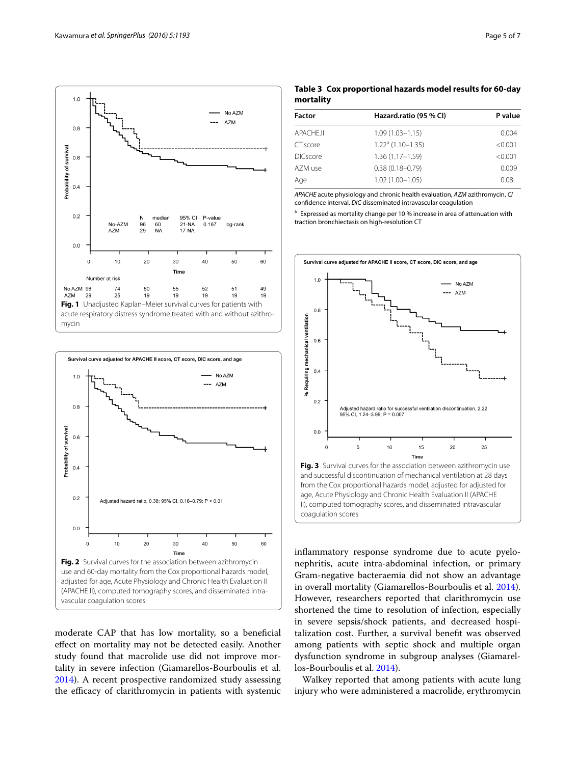

<span id="page-4-0"></span>

<span id="page-4-1"></span>moderate CAP that has low mortality, so a beneficial effect on mortality may not be detected easily. Another study found that macrolide use did not improve mortality in severe infection (Giamarellos-Bourboulis et al. [2014](#page-6-22)). A recent prospective randomized study assessing the efficacy of clarithromycin in patients with systemic

<span id="page-4-2"></span>

| <b>Factor</b>   | Hazard.ratio (95 % CI) | P value |  |
|-----------------|------------------------|---------|--|
| APACHE.II       | $1.09(1.03 - 1.15)$    | 0.004   |  |
| CT.score        | $1.22a$ (1.10-1.35)    | < 0.001 |  |
| <b>DICscore</b> | $1.36(1.17 - 1.59)$    | < 0.001 |  |
| AZM use         | $0.38(0.18 - 0.79)$    | 0.009   |  |
| Age             | $1.02(1.00 - 1.05)$    | 0.08    |  |
|                 |                        |         |  |

*APACHE* acute physiology and chronic health evaluation, *AZM* azithromycin, *CI* confidence interval, *DIC* disseminated intravascular coagulation

<sup>a</sup> Expressed as mortality change per 10 % increase in area of attenuation with traction bronchiectasis on high-resolution CT



inflammatory response syndrome due to acute pyelonephritis, acute intra-abdominal infection, or primary Gram-negative bacteraemia did not show an advantage in overall mortality (Giamarellos-Bourboulis et al. [2014](#page-6-22)). However, researchers reported that clarithromycin use shortened the time to resolution of infection, especially in severe sepsis/shock patients, and decreased hospitalization cost. Further, a survival benefit was observed among patients with septic shock and multiple organ dysfunction syndrome in subgroup analyses (Giamarellos-Bourboulis et al. [2014\)](#page-6-22).

<span id="page-4-3"></span>coagulation scores

Walkey reported that among patients with acute lung injury who were administered a macrolide, erythromycin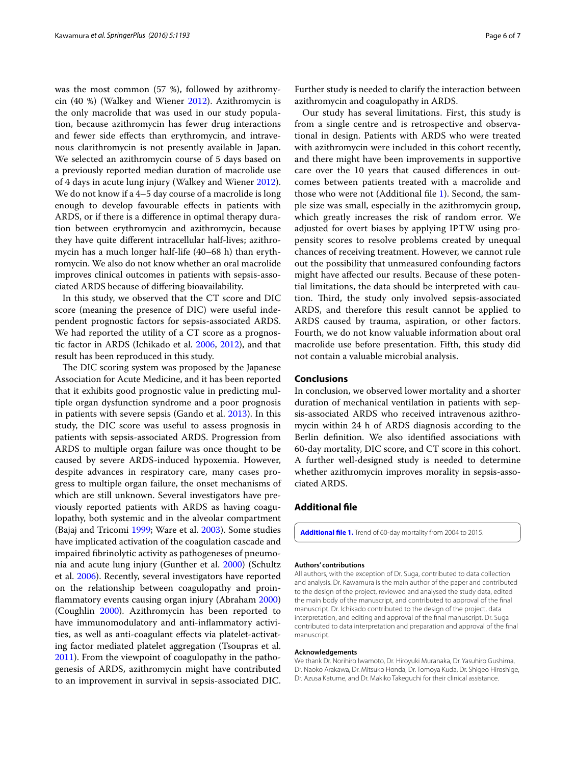was the most common (57 %), followed by azithromycin  $(40 \%)$  (Walkey and Wiener [2012](#page-6-6)). Azithromycin is the only macrolide that was used in our study population, because azithromycin has fewer drug interactions and fewer side effects than erythromycin, and intravenous clarithromycin is not presently available in Japan. We selected an azithromycin course of 5 days based on a previously reported median duration of macrolide use of 4 days in acute lung injury (Walkey and Wiener [2012](#page-6-6)). We do not know if a 4–5 day course of a macrolide is long enough to develop favourable effects in patients with ARDS, or if there is a difference in optimal therapy duration between erythromycin and azithromycin, because they have quite different intracellular half-lives; azithromycin has a much longer half-life (40–68 h) than erythromycin. We also do not know whether an oral macrolide improves clinical outcomes in patients with sepsis-associated ARDS because of differing bioavailability.

In this study, we observed that the CT score and DIC score (meaning the presence of DIC) were useful independent prognostic factors for sepsis-associated ARDS. We had reported the utility of a CT score as a prognostic factor in ARDS (Ichikado et al. [2006](#page-6-23), [2012](#page-6-7)), and that result has been reproduced in this study.

The DIC scoring system was proposed by the Japanese Association for Acute Medicine, and it has been reported that it exhibits good prognostic value in predicting multiple organ dysfunction syndrome and a poor prognosis in patients with severe sepsis (Gando et al. [2013\)](#page-6-11). In this study, the DIC score was useful to assess prognosis in patients with sepsis-associated ARDS. Progression from ARDS to multiple organ failure was once thought to be caused by severe ARDS-induced hypoxemia. However, despite advances in respiratory care, many cases progress to multiple organ failure, the onset mechanisms of which are still unknown. Several investigators have previously reported patients with ARDS as having coagulopathy, both systemic and in the alveolar compartment (Bajaj and Tricomi [1999;](#page-6-24) Ware et al. [2003\)](#page-6-25). Some studies have implicated activation of the coagulation cascade and impaired fibrinolytic activity as pathogeneses of pneumonia and acute lung injury (Gunther et al. [2000](#page-6-26)) (Schultz et al. [2006](#page-6-27)). Recently, several investigators have reported on the relationship between coagulopathy and proinflammatory events causing organ injury (Abraham [2000](#page-6-28)) (Coughlin [2000](#page-6-29)). Azithromycin has been reported to have immunomodulatory and anti-inflammatory activities, as well as anti-coagulant effects via platelet-activating factor mediated platelet aggregation (Tsoupras et al. [2011](#page-6-30)). From the viewpoint of coagulopathy in the pathogenesis of ARDS, azithromycin might have contributed to an improvement in survival in sepsis-associated DIC.

Further study is needed to clarify the interaction between azithromycin and coagulopathy in ARDS.

Our study has several limitations. First, this study is from a single centre and is retrospective and observational in design. Patients with ARDS who were treated with azithromycin were included in this cohort recently, and there might have been improvements in supportive care over the 10 years that caused differences in outcomes between patients treated with a macrolide and those who were not (Additional file [1](#page-5-0)). Second, the sample size was small, especially in the azithromycin group, which greatly increases the risk of random error. We adjusted for overt biases by applying IPTW using propensity scores to resolve problems created by unequal chances of receiving treatment. However, we cannot rule out the possibility that unmeasured confounding factors might have affected our results. Because of these potential limitations, the data should be interpreted with caution. Third, the study only involved sepsis-associated ARDS, and therefore this result cannot be applied to ARDS caused by trauma, aspiration, or other factors. Fourth, we do not know valuable information about oral macrolide use before presentation. Fifth, this study did not contain a valuable microbial analysis.

#### **Conclusions**

In conclusion, we observed lower mortality and a shorter duration of mechanical ventilation in patients with sepsis-associated ARDS who received intravenous azithromycin within 24 h of ARDS diagnosis according to the Berlin definition. We also identified associations with 60-day mortality, DIC score, and CT score in this cohort. A further well-designed study is needed to determine whether azithromycin improves morality in sepsis-associated ARDS.

#### **Additional file**

<span id="page-5-0"></span>**[Additional file 1.](http://dx.doi.org/10.1186/s40064-016-2866-1)** Trend of 60-day mortality from 2004 to 2015.

#### **Authors' contributions**

All authors, with the exception of Dr. Suga, contributed to data collection and analysis. Dr. Kawamura is the main author of the paper and contributed to the design of the project, reviewed and analysed the study data, edited the main body of the manuscript, and contributed to approval of the final manuscript. Dr. Ichikado contributed to the design of the project, data interpretation, and editing and approval of the final manuscript. Dr. Suga contributed to data interpretation and preparation and approval of the final manuscript.

#### **Acknowledgements**

We thank Dr. Norihiro Iwamoto, Dr. Hiroyuki Muranaka, Dr. Yasuhiro Gushima, Dr. Naoko Arakawa, Dr. Mitsuko Honda, Dr. Tomoya Kuda, Dr. Shigeo Hiroshige, Dr. Azusa Katume, and Dr. Makiko Takeguchi for their clinical assistance.